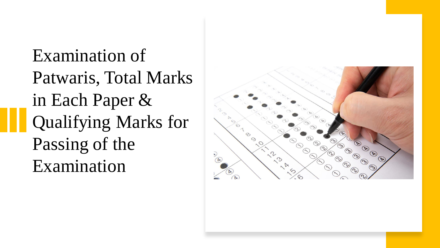Examination of Patwaris, Total Marks in Each Paper & Qualifying Marks for Passing of the Examination

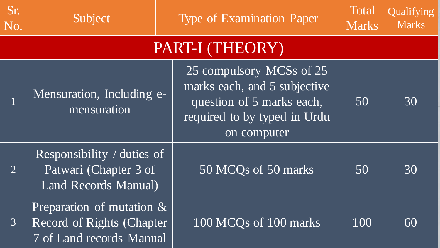| Sr.<br>No.     | Subject                                                                            | <b>Type of Examination Paper</b>                                                                                                     | Total<br><b>Marks</b> | Qualifying<br><b>Marks</b> |  |
|----------------|------------------------------------------------------------------------------------|--------------------------------------------------------------------------------------------------------------------------------------|-----------------------|----------------------------|--|
|                | PART-I (THEORY)                                                                    |                                                                                                                                      |                       |                            |  |
|                | Mensuration, Including e-<br>mensuration                                           | 25 compulsory MCSs of 25<br>marks each, and 5 subjective<br>question of 5 marks each,<br>required to by typed in Urdu<br>on computer | 50                    | 30                         |  |
| $\overline{2}$ | Responsibility / duties of<br>Patwari (Chapter 3 of<br><b>Land Records Manual)</b> | 50 MCQs of 50 marks                                                                                                                  | 50                    | 30                         |  |
| $\overline{3}$ | Preparation of mutation &<br>Record of Rights (Chapter<br>7 of Land records Manual | 100 MCQs of 100 marks                                                                                                                | 100                   | 60                         |  |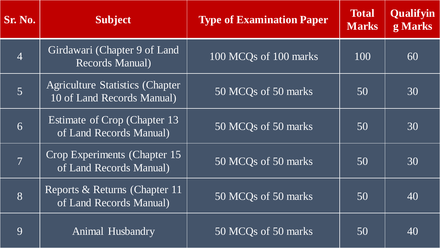| Sr. No.        | <b>Subject</b>                                                        | <b>Type of Examination Paper</b> | <b>Total</b><br><b>Marks</b> | Qualifyin<br>g Marks |
|----------------|-----------------------------------------------------------------------|----------------------------------|------------------------------|----------------------|
| $\overline{4}$ | Girdawari (Chapter 9 of Land<br><b>Records Manual)</b>                | 100 MCQs of 100 marks            | 100                          | 60                   |
| 5              | <b>Agriculture Statistics (Chapter)</b><br>10 of Land Records Manual) | 50 MCQs of 50 marks              | 50                           | 30                   |
| 6              | Estimate of Crop (Chapter 13)<br>of Land Records Manual)              | 50 MCQs of 50 marks              | 50                           | 30                   |
| $\overline{7}$ | Crop Experiments (Chapter 15<br>of Land Records Manual)               | 50 MCQs of 50 marks              | 50                           | 30                   |
| 8              | Reports & Returns (Chapter 11)<br>of Land Records Manual)             | 50 MCQs of 50 marks              | 50                           | 40                   |
| 9              | Animal Husbandry                                                      | 50 MCQs of 50 marks              | 50                           | 40                   |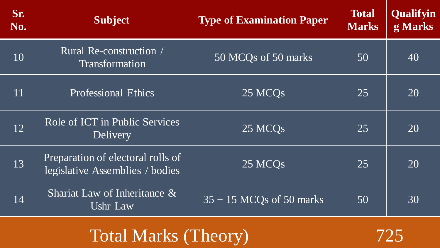| Sr.<br>No.                  | <b>Subject</b>                                                       | <b>Type of Examination Paper</b> | <b>Total</b><br>Marks | Qualifyin<br>g Marks |
|-----------------------------|----------------------------------------------------------------------|----------------------------------|-----------------------|----------------------|
| 10                          | Rural Re-construction /<br>Transformation                            | 50 MCQs of 50 marks              | 50                    | 40                   |
| 11                          | <b>Professional Ethics</b>                                           | 25 MCQ <sub>s</sub>              | 25                    | 20                   |
| 12                          | Role of ICT in Public Services<br>Delivery                           | 25 MCQ <sub>s</sub>              | 25                    | 20                   |
| 13                          | Preparation of electoral rolls of<br>legislative Assemblies / bodies | 25 MCQ <sub>s</sub>              | 25                    | 20                   |
| 14                          | Shariat Law of Inheritance $\&$<br>Ushr Law                          | $35 + 15$ MCQs of 50 marks       | 50                    | 30                   |
| <b>Total Marks (Theory)</b> |                                                                      |                                  |                       | 725                  |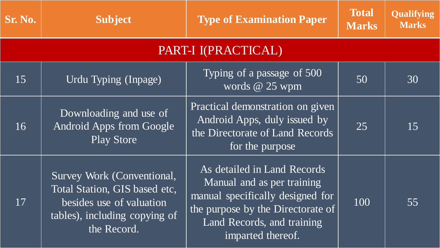| Sr. No.             | <b>Subject</b>                                                                                                                          | <b>Type of Examination Paper</b>                                                                                                                                                      | <b>Total</b><br>Marks | Qualifying<br><b>Marks</b> |
|---------------------|-----------------------------------------------------------------------------------------------------------------------------------------|---------------------------------------------------------------------------------------------------------------------------------------------------------------------------------------|-----------------------|----------------------------|
| PART-I I(PRACTICAL) |                                                                                                                                         |                                                                                                                                                                                       |                       |                            |
| 15                  | Urdu Typing (Inpage)                                                                                                                    | Typing of a passage of 500<br>words @ 25 wpm                                                                                                                                          | 50                    | 30                         |
| 16                  | Downloading and use of<br>Android Apps from Google<br><b>Play Store</b>                                                                 | Practical demonstration on given<br>Android Apps, duly issued by<br>the Directorate of Land Records<br>for the purpose                                                                | 25                    | 15                         |
| 17                  | Survey Work (Conventional,<br>Total Station, GIS based etc,<br>besides use of valuation<br>tables), including copying of<br>the Record. | As detailed in Land Records<br>Manual and as per training<br>manual specifically designed for<br>the purpose by the Directorate of<br>Land Records, and training<br>imparted thereof. | 100                   | 55                         |